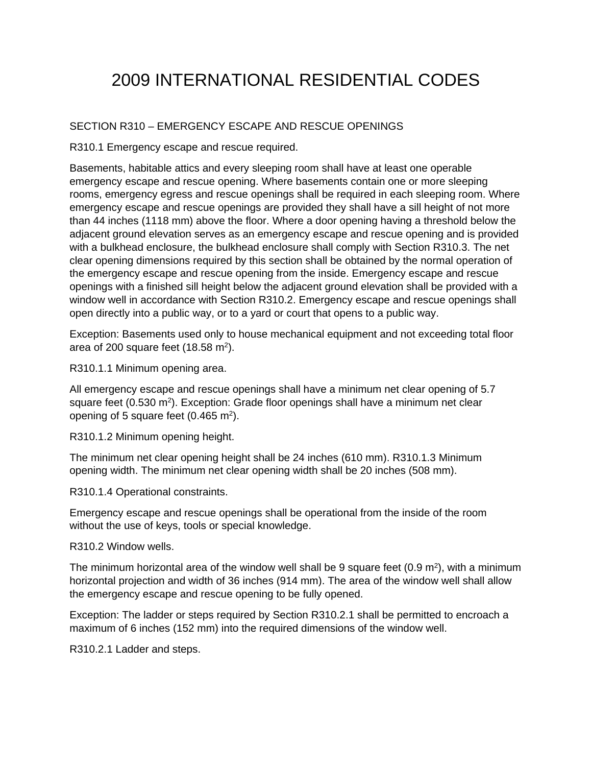## 2009 INTERNATIONAL RESIDENTIAL CODES

## SECTION R310 – EMERGENCY ESCAPE AND RESCUE OPENINGS

R310.1 Emergency escape and rescue required.

Basements, habitable attics and every sleeping room shall have at least one operable emergency escape and rescue opening. Where basements contain one or more sleeping rooms, emergency egress and rescue openings shall be required in each sleeping room. Where emergency escape and rescue openings are provided they shall have a sill height of not more than 44 inches (1118 mm) above the floor. Where a door opening having a threshold below the adjacent ground elevation serves as an emergency escape and rescue opening and is provided with a bulkhead enclosure, the bulkhead enclosure shall comply with Section R310.3. The net clear opening dimensions required by this section shall be obtained by the normal operation of the emergency escape and rescue opening from the inside. Emergency escape and rescue openings with a finished sill height below the adjacent ground elevation shall be provided with a window well in accordance with Section R310.2. Emergency escape and rescue openings shall open directly into a public way, or to a yard or court that opens to a public way.

Exception: Basements used only to house mechanical equipment and not exceeding total floor area of 200 square feet  $(18.58 \text{ m}^2)$ .

R310.1.1 Minimum opening area.

All emergency escape and rescue openings shall have a minimum net clear opening of 5.7 square feet  $(0.530 \text{ m}^2)$ . Exception: Grade floor openings shall have a minimum net clear opening of 5 square feet  $(0.465 \text{ m}^2)$ .

R310.1.2 Minimum opening height.

The minimum net clear opening height shall be 24 inches (610 mm). R310.1.3 Minimum opening width. The minimum net clear opening width shall be 20 inches (508 mm).

R310.1.4 Operational constraints.

Emergency escape and rescue openings shall be operational from the inside of the room without the use of keys, tools or special knowledge.

R310.2 Window wells.

The minimum horizontal area of the window well shall be 9 square feet  $(0.9 \text{ m}^2)$ , with a minimum horizontal projection and width of 36 inches (914 mm). The area of the window well shall allow the emergency escape and rescue opening to be fully opened.

Exception: The ladder or steps required by Section R310.2.1 shall be permitted to encroach a maximum of 6 inches (152 mm) into the required dimensions of the window well.

R310.2.1 Ladder and steps.